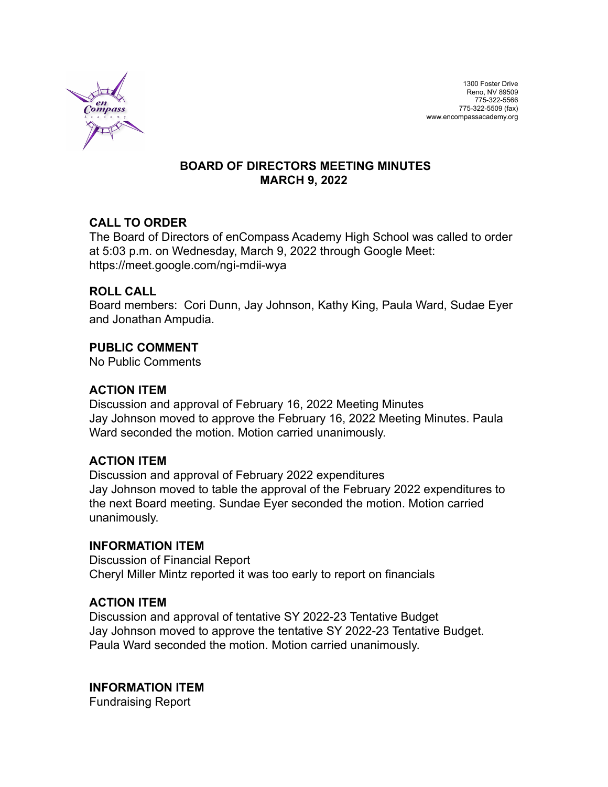

## **BOARD OF DIRECTORS MEETING MINUTES MARCH 9, 2022**

## **CALL TO ORDER**

The Board of Directors of enCompass Academy High School was called to order at 5:03 p.m. on Wednesday, March 9, 2022 through Google Meet: https://meet.google.com/ngi-mdii-wya

## **ROLL CALL**

Board members: Cori Dunn, Jay Johnson, Kathy King, Paula Ward, Sudae Eyer and Jonathan Ampudia.

## **PUBLIC COMMENT**

No Public Comments

## **ACTION ITEM**

Discussion and approval of February 16, 2022 Meeting Minutes Jay Johnson moved to approve the February 16, 2022 Meeting Minutes. Paula Ward seconded the motion. Motion carried unanimously.

### **ACTION ITEM**

Discussion and approval of February 2022 expenditures Jay Johnson moved to table the approval of the February 2022 expenditures to the next Board meeting. Sundae Eyer seconded the motion. Motion carried unanimously.

### **INFORMATION ITEM**

Discussion of Financial Report Cheryl Miller Mintz reported it was too early to report on financials

### **ACTION ITEM**

Discussion and approval of tentative SY 2022-23 Tentative Budget Jay Johnson moved to approve the tentative SY 2022-23 Tentative Budget. Paula Ward seconded the motion. Motion carried unanimously.

# **INFORMATION ITEM**

Fundraising Report